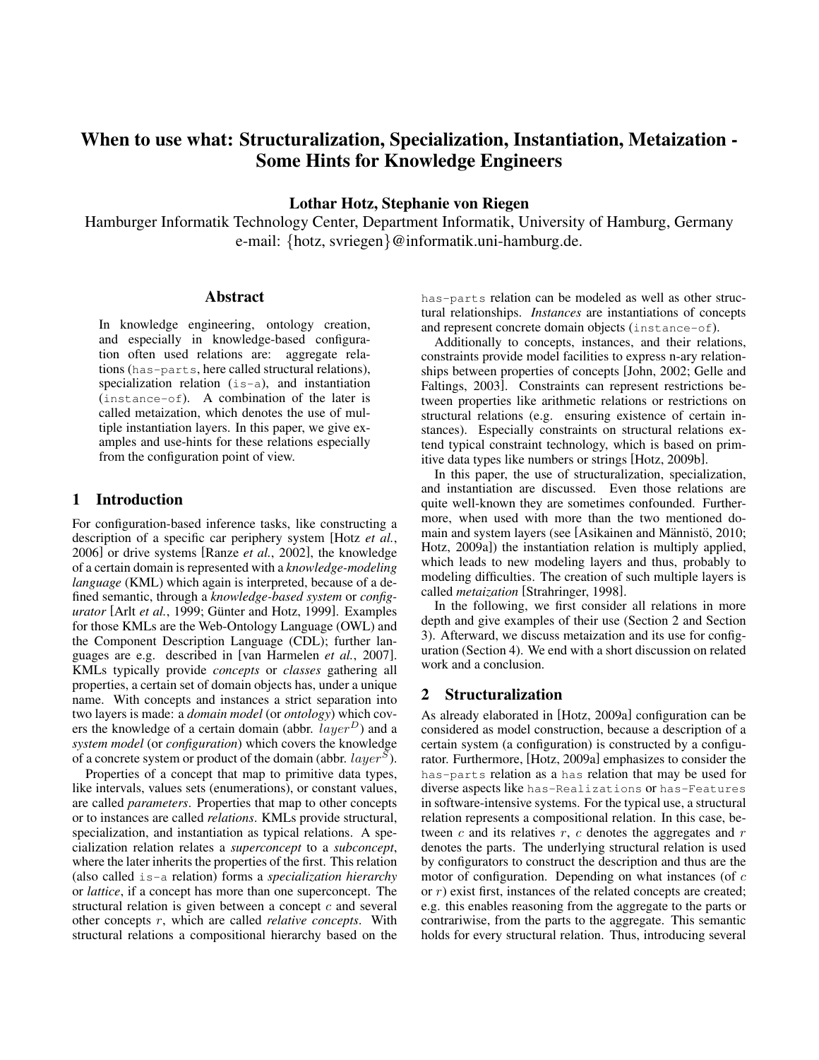# When to use what: Structuralization, Specialization, Instantiation, Metaization - Some Hints for Knowledge Engineers

Lothar Hotz, Stephanie von Riegen

Hamburger Informatik Technology Center, Department Informatik, University of Hamburg, Germany e-mail: {hotz, svriegen}@informatik.uni-hamburg.de.

#### Abstract

In knowledge engineering, ontology creation, and especially in knowledge-based configuration often used relations are: aggregate relations (has-parts, here called structural relations), specialization relation  $(i s-a)$ , and instantiation (instance-of). A combination of the later is called metaization, which denotes the use of multiple instantiation layers. In this paper, we give examples and use-hints for these relations especially from the configuration point of view.

## 1 Introduction

For configuration-based inference tasks, like constructing a description of a specific car periphery system [Hotz *et al.*, 2006] or drive systems [Ranze *et al.*, 2002], the knowledge of a certain domain is represented with a *knowledge-modeling language* (KML) which again is interpreted, because of a defined semantic, through a *knowledge-based system* or *configurator* [Arlt *et al.*, 1999; Günter and Hotz, 1999]. Examples for those KMLs are the Web-Ontology Language (OWL) and the Component Description Language (CDL); further languages are e.g. described in [van Harmelen *et al.*, 2007]. KMLs typically provide *concepts* or *classes* gathering all properties, a certain set of domain objects has, under a unique name. With concepts and instances a strict separation into two layers is made: a *domain model* (or *ontology*) which covers the knowledge of a certain domain (abbr.  $layer^D$ ) and a *system model* (or *configuration*) which covers the knowledge of a concrete system or product of the domain (abbr.  $layer<sup>S</sup>$ ).

Properties of a concept that map to primitive data types, like intervals, values sets (enumerations), or constant values, are called *parameters*. Properties that map to other concepts or to instances are called *relations*. KMLs provide structural, specialization, and instantiation as typical relations. A specialization relation relates a *superconcept* to a *subconcept*, where the later inherits the properties of the first. This relation (also called is-a relation) forms a *specialization hierarchy* or *lattice*, if a concept has more than one superconcept. The structural relation is given between a concept  $c$  and several other concepts r, which are called *relative concepts*. With structural relations a compositional hierarchy based on the has-parts relation can be modeled as well as other structural relationships. *Instances* are instantiations of concepts and represent concrete domain objects (instance-of).

Additionally to concepts, instances, and their relations, constraints provide model facilities to express n-ary relationships between properties of concepts [John, 2002; Gelle and Faltings, 2003]. Constraints can represent restrictions between properties like arithmetic relations or restrictions on structural relations (e.g. ensuring existence of certain instances). Especially constraints on structural relations extend typical constraint technology, which is based on primitive data types like numbers or strings [Hotz, 2009b].

In this paper, the use of structuralization, specialization, and instantiation are discussed. Even those relations are quite well-known they are sometimes confounded. Furthermore, when used with more than the two mentioned domain and system layers (see [Asikainen and Männistö, 2010; Hotz, 2009a]) the instantiation relation is multiply applied, which leads to new modeling layers and thus, probably to modeling difficulties. The creation of such multiple layers is called *metaization* [Strahringer, 1998].

In the following, we first consider all relations in more depth and give examples of their use (Section 2 and Section 3). Afterward, we discuss metaization and its use for configuration (Section 4). We end with a short discussion on related work and a conclusion.

#### 2 Structuralization

As already elaborated in [Hotz, 2009a] configuration can be considered as model construction, because a description of a certain system (a configuration) is constructed by a configurator. Furthermore, [Hotz, 2009a] emphasizes to consider the has-parts relation as a has relation that may be used for diverse aspects like has-Realizations or has-Features in software-intensive systems. For the typical use, a structural relation represents a compositional relation. In this case, between  $c$  and its relatives  $r$ ,  $c$  denotes the aggregates and  $r$ denotes the parts. The underlying structural relation is used by configurators to construct the description and thus are the motor of configuration. Depending on what instances (of  $c$ or  $r$ ) exist first, instances of the related concepts are created; e.g. this enables reasoning from the aggregate to the parts or contrariwise, from the parts to the aggregate. This semantic holds for every structural relation. Thus, introducing several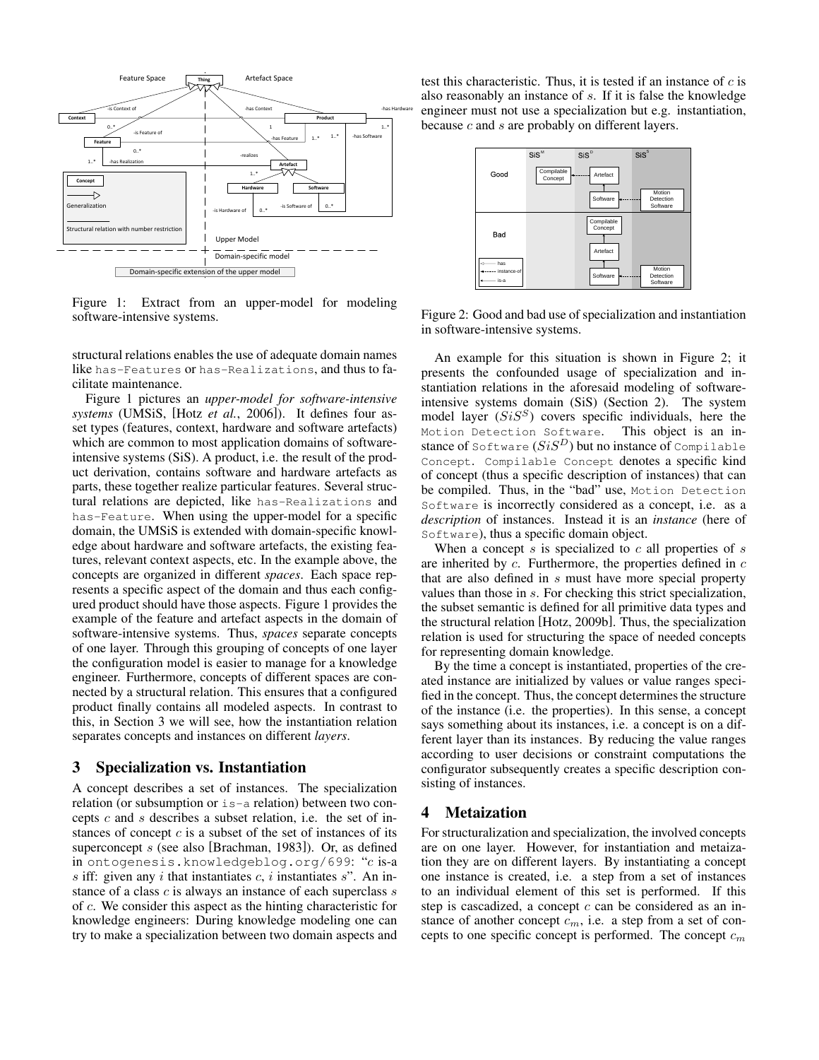

Figure 1: Extract from an upper-model for modeling software-intensive systems.

structural relations enables the use of adequate domain names like has-Features or has-Realizations, and thus to facilitate maintenance.

Figure 1 pictures an *upper-model for software-intensive systems* (UMSiS, [Hotz *et al.*, 2006]). It defines four asset types (features, context, hardware and software artefacts) which are common to most application domains of softwareintensive systems (SiS). A product, i.e. the result of the product derivation, contains software and hardware artefacts as parts, these together realize particular features. Several structural relations are depicted, like has-Realizations and has-Feature. When using the upper-model for a specific domain, the UMSiS is extended with domain-specific knowledge about hardware and software artefacts, the existing features, relevant context aspects, etc. In the example above, the concepts are organized in different *spaces*. Each space represents a specific aspect of the domain and thus each configured product should have those aspects. Figure 1 provides the example of the feature and artefact aspects in the domain of software-intensive systems. Thus, *spaces* separate concepts of one layer. Through this grouping of concepts of one layer the configuration model is easier to manage for a knowledge engineer. Furthermore, concepts of different spaces are connected by a structural relation. This ensures that a configured product finally contains all modeled aspects. In contrast to this, in Section 3 we will see, how the instantiation relation separates concepts and instances on different *layers*.

#### 3 Specialization vs. Instantiation

A concept describes a set of instances. The specialization relation (or subsumption or is-a relation) between two concepts  $c$  and  $s$  describes a subset relation, i.e. the set of instances of concept  $c$  is a subset of the set of instances of its superconcept s (see also [Brachman, 1983]). Or, as defined in ontogenesis.knowledgeblog.org/699: "c is-a s iff: given any i that instantiates  $c$ , i instantiates s". An instance of a class  $c$  is always an instance of each superclass  $s$ of c. We consider this aspect as the hinting characteristic for knowledge engineers: During knowledge modeling one can try to make a specialization between two domain aspects and test this characteristic. Thus, it is tested if an instance of  $c$  is also reasonably an instance of s. If it is false the knowledge engineer must not use a specialization but e.g. instantiation, because  $c$  and  $s$  are probably on different layers.



Figure 2: Good and bad use of specialization and instantiation in software-intensive systems.

An example for this situation is shown in Figure 2; it presents the confounded usage of specialization and instantiation relations in the aforesaid modeling of softwareintensive systems domain (SiS) (Section 2). The system model layer  $(SiS<sup>S</sup>)$  covers specific individuals, here the Motion Detection Software. This object is an instance of Software  $(SiS<sup>D</sup>)$  but no instance of Compilable Concept. Compilable Concept denotes a specific kind of concept (thus a specific description of instances) that can be compiled. Thus, in the "bad" use, Motion Detection Software is incorrectly considered as a concept, i.e. as a *description* of instances. Instead it is an *instance* (here of Software), thus a specific domain object.

When a concept  $s$  is specialized to  $c$  all properties of  $s$ are inherited by  $c$ . Furthermore, the properties defined in  $c$ that are also defined in s must have more special property values than those in s. For checking this strict specialization, the subset semantic is defined for all primitive data types and the structural relation [Hotz, 2009b]. Thus, the specialization relation is used for structuring the space of needed concepts for representing domain knowledge.

By the time a concept is instantiated, properties of the created instance are initialized by values or value ranges specified in the concept. Thus, the concept determines the structure of the instance (i.e. the properties). In this sense, a concept says something about its instances, i.e. a concept is on a different layer than its instances. By reducing the value ranges according to user decisions or constraint computations the configurator subsequently creates a specific description consisting of instances.

## 4 Metaization

For structuralization and specialization, the involved concepts are on one layer. However, for instantiation and metaization they are on different layers. By instantiating a concept one instance is created, i.e. a step from a set of instances to an individual element of this set is performed. If this step is cascadized, a concept  $c$  can be considered as an instance of another concept  $c_m$ , i.e. a step from a set of concepts to one specific concept is performed. The concept  $c_m$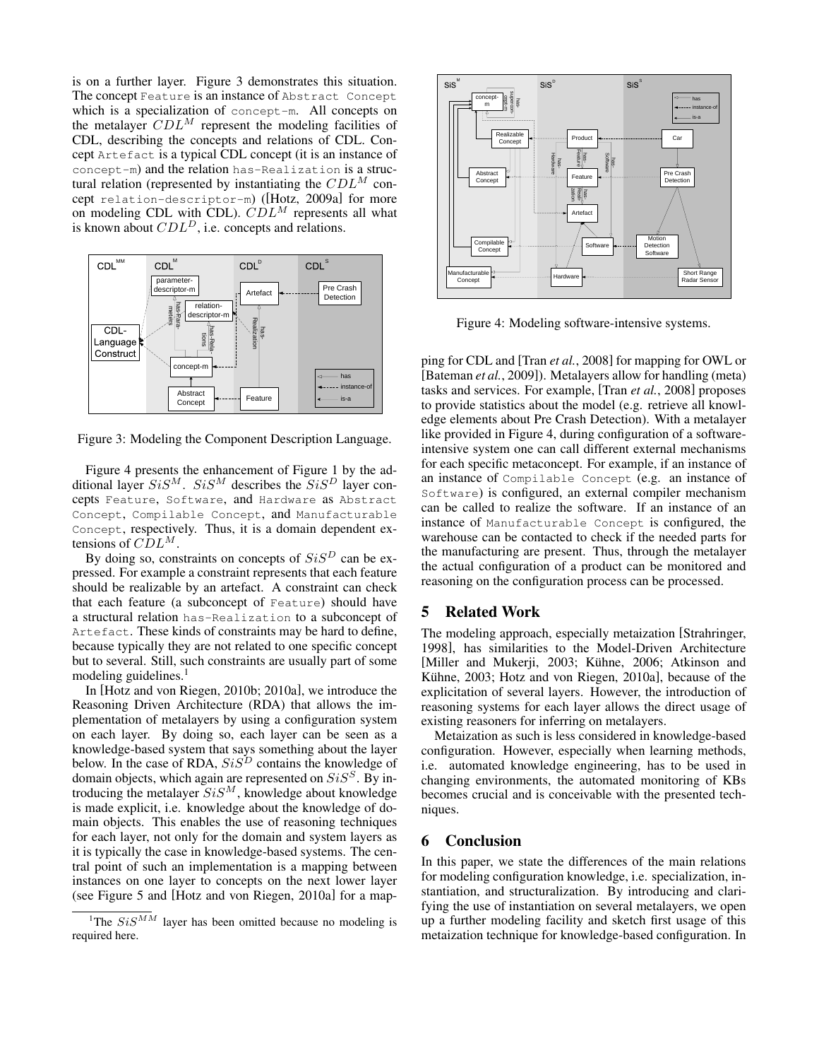is on a further layer. Figure 3 demonstrates this situation. The concept Feature is an instance of Abstract Concept which is a specialization of concept-m. All concepts on the metalayer  $CDL^M$  represent the modeling facilities of CDL, describing the concepts and relations of CDL. Concept Artefact is a typical CDL concept (it is an instance of concept-m) and the relation has-Realization is a structural relation (represented by instantiating the  $CDL<sup>M</sup>$  concept relation-descriptor-m) ([Hotz, 2009a] for more on modeling CDL with CDL).  $CDL^M$  represents all what is known about  $CDL<sup>D</sup>$ , i.e. concepts and relations.



Figure 3: Modeling the Component Description Language.

Figure 4 presents the enhancement of Figure 1 by the additional layer  $SiS^{M}$ .  $SiS^{M}$  describes the  $SiS^{D}$  layer concepts Feature, Software, and Hardware as Abstract Concept, Compilable Concept, and Manufacturable Concept, respectively. Thus, it is a domain dependent extensions of  $CDL^M$ .

By doing so, constraints on concepts of  $SiS<sup>D</sup>$  can be expressed. For example a constraint represents that each feature should be realizable by an artefact. A constraint can check that each feature (a subconcept of Feature) should have a structural relation has-Realization to a subconcept of Artefact. These kinds of constraints may be hard to define, because typically they are not related to one specific concept but to several. Still, such constraints are usually part of some modeling guidelines. $<sup>1</sup>$ </sup>

In [Hotz and von Riegen, 2010b; 2010a], we introduce the Reasoning Driven Architecture (RDA) that allows the implementation of metalayers by using a configuration system on each layer. By doing so, each layer can be seen as a knowledge-based system that says something about the layer below. In the case of RDA,  $SiS<sup>D</sup>$  contains the knowledge of domain objects, which again are represented on  $SiS<sup>S</sup>$ . By introducing the metalayer  $SiS<sup>M</sup>$ , knowledge about knowledge is made explicit, i.e. knowledge about the knowledge of domain objects. This enables the use of reasoning techniques for each layer, not only for the domain and system layers as it is typically the case in knowledge-based systems. The central point of such an implementation is a mapping between instances on one layer to concepts on the next lower layer (see Figure 5 and [Hotz and von Riegen, 2010a] for a map-



Figure 4: Modeling software-intensive systems.

ping for CDL and [Tran *et al.*, 2008] for mapping for OWL or [Bateman *et al.*, 2009]). Metalayers allow for handling (meta) tasks and services. For example, [Tran *et al.*, 2008] proposes to provide statistics about the model (e.g. retrieve all knowledge elements about Pre Crash Detection). With a metalayer like provided in Figure 4, during configuration of a softwareintensive system one can call different external mechanisms for each specific metaconcept. For example, if an instance of an instance of Compilable Concept (e.g. an instance of Software) is configured, an external compiler mechanism can be called to realize the software. If an instance of an instance of Manufacturable Concept is configured, the warehouse can be contacted to check if the needed parts for the manufacturing are present. Thus, through the metalayer the actual configuration of a product can be monitored and reasoning on the configuration process can be processed.

## 5 Related Work

The modeling approach, especially metaization [Strahringer, 1998], has similarities to the Model-Driven Architecture [Miller and Mukerji, 2003; Kühne, 2006; Atkinson and Kühne, 2003; Hotz and von Riegen, 2010a], because of the explicitation of several layers. However, the introduction of reasoning systems for each layer allows the direct usage of existing reasoners for inferring on metalayers.

Metaization as such is less considered in knowledge-based configuration. However, especially when learning methods, i.e. automated knowledge engineering, has to be used in changing environments, the automated monitoring of KBs becomes crucial and is conceivable with the presented techniques.

### 6 Conclusion

In this paper, we state the differences of the main relations for modeling configuration knowledge, i.e. specialization, instantiation, and structuralization. By introducing and clarifying the use of instantiation on several metalayers, we open up a further modeling facility and sketch first usage of this metaization technique for knowledge-based configuration. In

<sup>&</sup>lt;sup>1</sup>The  $SiS^{MM}$  layer has been omitted because no modeling is required here.